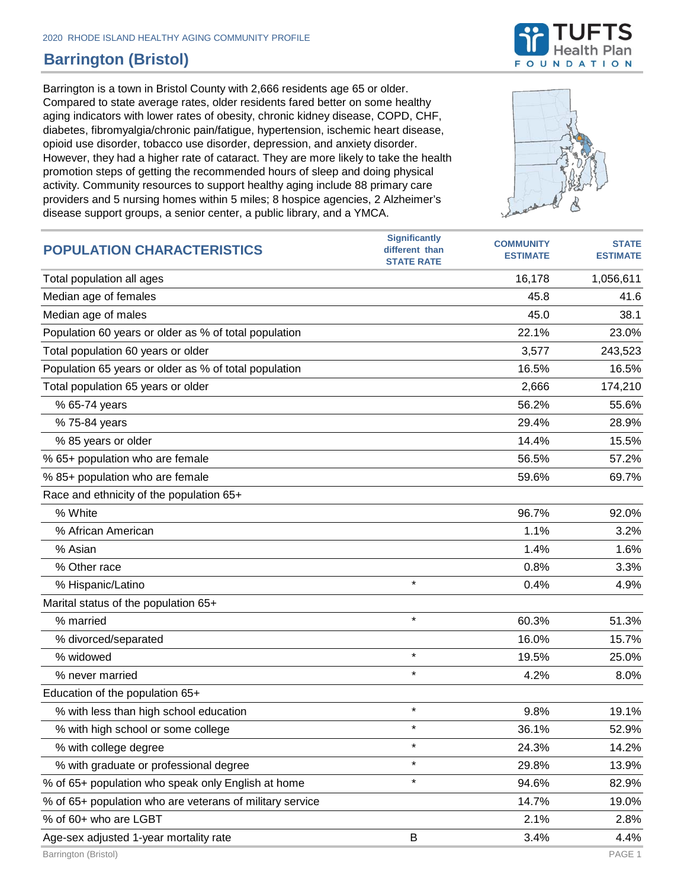## **Barrington (Bristol)**

Barrington is a town in Bristol County with 2,666 residents age 65 or older. Compared to state average rates, older residents fared better on some healthy aging indicators with lower rates of obesity, chronic kidney disease, COPD, CHF, diabetes, fibromyalgia/chronic pain/fatigue, hypertension, ischemic heart disease, opioid use disorder, tobacco use disorder, depression, and anxiety disorder. However, they had a higher rate of cataract. They are more likely to take the health promotion steps of getting the recommended hours of sleep and doing physical activity. Community resources to support healthy aging include 88 primary care providers and 5 nursing homes within 5 miles; 8 hospice agencies, 2 Alzheimer's disease support groups, a senior center, a public library, and a YMCA.



| <b>POPULATION CHARACTERISTICS</b>                        | <b>Significantly</b><br>different than<br><b>STATE RATE</b> | <b>COMMUNITY</b><br><b>ESTIMATE</b> | <b>STATE</b><br><b>ESTIMATE</b> |
|----------------------------------------------------------|-------------------------------------------------------------|-------------------------------------|---------------------------------|
| Total population all ages                                |                                                             | 16,178                              | 1,056,611                       |
| Median age of females                                    |                                                             | 45.8                                | 41.6                            |
| Median age of males                                      |                                                             | 45.0                                | 38.1                            |
| Population 60 years or older as % of total population    |                                                             | 22.1%                               | 23.0%                           |
| Total population 60 years or older                       |                                                             | 3,577                               | 243,523                         |
| Population 65 years or older as % of total population    |                                                             | 16.5%                               | 16.5%                           |
| Total population 65 years or older                       |                                                             | 2,666                               | 174,210                         |
| % 65-74 years                                            |                                                             | 56.2%                               | 55.6%                           |
| % 75-84 years                                            |                                                             | 29.4%                               | 28.9%                           |
| % 85 years or older                                      |                                                             | 14.4%                               | 15.5%                           |
| % 65+ population who are female                          |                                                             | 56.5%                               | 57.2%                           |
| % 85+ population who are female                          |                                                             | 59.6%                               | 69.7%                           |
| Race and ethnicity of the population 65+                 |                                                             |                                     |                                 |
| % White                                                  |                                                             | 96.7%                               | 92.0%                           |
| % African American                                       |                                                             | 1.1%                                | 3.2%                            |
| % Asian                                                  |                                                             | 1.4%                                | 1.6%                            |
| % Other race                                             |                                                             | 0.8%                                | 3.3%                            |
| % Hispanic/Latino                                        | $\star$                                                     | 0.4%                                | 4.9%                            |
| Marital status of the population 65+                     |                                                             |                                     |                                 |
| % married                                                | $\star$                                                     | 60.3%                               | 51.3%                           |
| % divorced/separated                                     |                                                             | 16.0%                               | 15.7%                           |
| % widowed                                                | $\star$                                                     | 19.5%                               | 25.0%                           |
| % never married                                          | $\star$                                                     | 4.2%                                | 8.0%                            |
| Education of the population 65+                          |                                                             |                                     |                                 |
| % with less than high school education                   | $\star$                                                     | 9.8%                                | 19.1%                           |
| % with high school or some college                       | $^\star$                                                    | 36.1%                               | 52.9%                           |
| % with college degree                                    | $\star$                                                     | 24.3%                               | 14.2%                           |
| % with graduate or professional degree                   | $\star$                                                     | 29.8%                               | 13.9%                           |
| % of 65+ population who speak only English at home       | $\star$                                                     | 94.6%                               | 82.9%                           |
| % of 65+ population who are veterans of military service |                                                             | 14.7%                               | 19.0%                           |
| % of 60+ who are LGBT                                    |                                                             | 2.1%                                | 2.8%                            |
| Age-sex adjusted 1-year mortality rate                   | B                                                           | 3.4%                                | 4.4%                            |

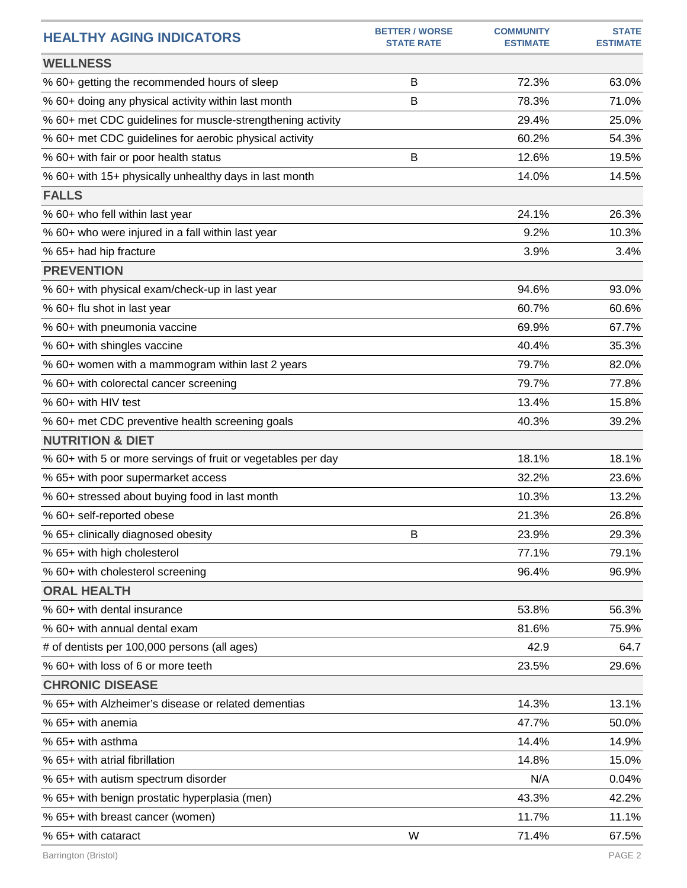| <b>HEALTHY AGING INDICATORS</b>                              | <b>BETTER / WORSE</b><br><b>STATE RATE</b> | <b>COMMUNITY</b><br><b>ESTIMATE</b> | <b>STATE</b><br><b>ESTIMATE</b> |
|--------------------------------------------------------------|--------------------------------------------|-------------------------------------|---------------------------------|
| <b>WELLNESS</b>                                              |                                            |                                     |                                 |
| % 60+ getting the recommended hours of sleep                 | B                                          | 72.3%                               | 63.0%                           |
| % 60+ doing any physical activity within last month          | B                                          | 78.3%                               | 71.0%                           |
| % 60+ met CDC guidelines for muscle-strengthening activity   |                                            | 29.4%                               | 25.0%                           |
| % 60+ met CDC guidelines for aerobic physical activity       |                                            | 60.2%                               | 54.3%                           |
| % 60+ with fair or poor health status                        | B                                          | 12.6%                               | 19.5%                           |
| % 60+ with 15+ physically unhealthy days in last month       |                                            | 14.0%                               | 14.5%                           |
| <b>FALLS</b>                                                 |                                            |                                     |                                 |
| % 60+ who fell within last year                              |                                            | 24.1%                               | 26.3%                           |
| % 60+ who were injured in a fall within last year            |                                            | 9.2%                                | 10.3%                           |
| % 65+ had hip fracture                                       |                                            | 3.9%                                | 3.4%                            |
| <b>PREVENTION</b>                                            |                                            |                                     |                                 |
| % 60+ with physical exam/check-up in last year               |                                            | 94.6%                               | 93.0%                           |
| % 60+ flu shot in last year                                  |                                            | 60.7%                               | 60.6%                           |
| % 60+ with pneumonia vaccine                                 |                                            | 69.9%                               | 67.7%                           |
| % 60+ with shingles vaccine                                  |                                            | 40.4%                               | 35.3%                           |
| % 60+ women with a mammogram within last 2 years             |                                            | 79.7%                               | 82.0%                           |
| % 60+ with colorectal cancer screening                       |                                            | 79.7%                               | 77.8%                           |
| % 60+ with HIV test                                          |                                            | 13.4%                               | 15.8%                           |
| % 60+ met CDC preventive health screening goals              |                                            | 40.3%                               | 39.2%                           |
| <b>NUTRITION &amp; DIET</b>                                  |                                            |                                     |                                 |
| % 60+ with 5 or more servings of fruit or vegetables per day |                                            | 18.1%                               | 18.1%                           |
| % 65+ with poor supermarket access                           |                                            | 32.2%                               | 23.6%                           |
| % 60+ stressed about buying food in last month               |                                            | 10.3%                               | 13.2%                           |
| % 60+ self-reported obese                                    |                                            | 21.3%                               | 26.8%                           |
| % 65+ clinically diagnosed obesity                           | B                                          | 23.9%                               | 29.3%                           |
| % 65+ with high cholesterol                                  |                                            | 77.1%                               | 79.1%                           |
| % 60+ with cholesterol screening                             |                                            | 96.4%                               | 96.9%                           |
| <b>ORAL HEALTH</b>                                           |                                            |                                     |                                 |
| % 60+ with dental insurance                                  |                                            | 53.8%                               | 56.3%                           |
| % 60+ with annual dental exam                                |                                            | 81.6%                               | 75.9%                           |
| # of dentists per 100,000 persons (all ages)                 |                                            | 42.9                                | 64.7                            |
| % 60+ with loss of 6 or more teeth                           |                                            | 23.5%                               | 29.6%                           |
| <b>CHRONIC DISEASE</b>                                       |                                            |                                     |                                 |
| % 65+ with Alzheimer's disease or related dementias          |                                            | 14.3%                               | 13.1%                           |
| % 65+ with anemia                                            |                                            | 47.7%                               | 50.0%                           |
| % 65+ with asthma                                            |                                            | 14.4%                               | 14.9%                           |
| % 65+ with atrial fibrillation                               |                                            | 14.8%                               | 15.0%                           |
| % 65+ with autism spectrum disorder                          |                                            | N/A                                 | 0.04%                           |
| % 65+ with benign prostatic hyperplasia (men)                |                                            | 43.3%                               | 42.2%                           |
| % 65+ with breast cancer (women)                             |                                            | 11.7%                               | 11.1%                           |
| % 65+ with cataract                                          | W                                          | 71.4%                               | 67.5%                           |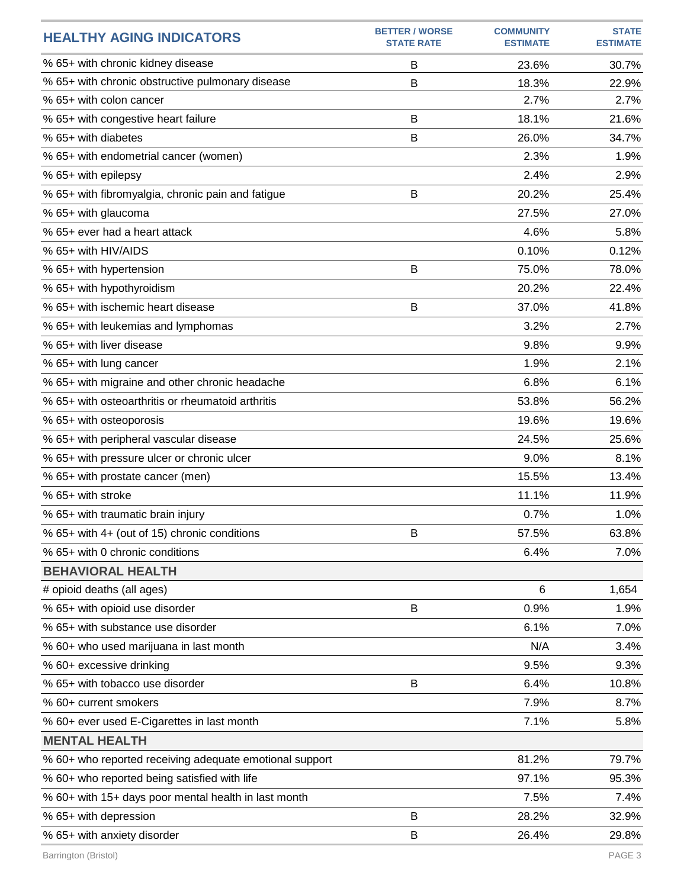| <b>HEALTHY AGING INDICATORS</b>                         | <b>BETTER / WORSE</b><br><b>STATE RATE</b> | <b>COMMUNITY</b><br><b>ESTIMATE</b> | <b>STATE</b><br><b>ESTIMATE</b> |
|---------------------------------------------------------|--------------------------------------------|-------------------------------------|---------------------------------|
| % 65+ with chronic kidney disease                       | B                                          | 23.6%                               | 30.7%                           |
| % 65+ with chronic obstructive pulmonary disease        | B                                          | 18.3%                               | 22.9%                           |
| % 65+ with colon cancer                                 |                                            | 2.7%                                | 2.7%                            |
| % 65+ with congestive heart failure                     | B                                          | 18.1%                               | 21.6%                           |
| % 65+ with diabetes                                     | B                                          | 26.0%                               | 34.7%                           |
| % 65+ with endometrial cancer (women)                   |                                            | 2.3%                                | 1.9%                            |
| % 65+ with epilepsy                                     |                                            | 2.4%                                | 2.9%                            |
| % 65+ with fibromyalgia, chronic pain and fatigue       | B                                          | 20.2%                               | 25.4%                           |
| % 65+ with glaucoma                                     |                                            | 27.5%                               | 27.0%                           |
| % 65+ ever had a heart attack                           |                                            | 4.6%                                | 5.8%                            |
| % 65+ with HIV/AIDS                                     |                                            | 0.10%                               | 0.12%                           |
| % 65+ with hypertension                                 | B                                          | 75.0%                               | 78.0%                           |
| % 65+ with hypothyroidism                               |                                            | 20.2%                               | 22.4%                           |
| % 65+ with ischemic heart disease                       | B                                          | 37.0%                               | 41.8%                           |
| % 65+ with leukemias and lymphomas                      |                                            | 3.2%                                | 2.7%                            |
| % 65+ with liver disease                                |                                            | 9.8%                                | 9.9%                            |
| % 65+ with lung cancer                                  |                                            | 1.9%                                | 2.1%                            |
| % 65+ with migraine and other chronic headache          |                                            | 6.8%                                | 6.1%                            |
| % 65+ with osteoarthritis or rheumatoid arthritis       |                                            | 53.8%                               | 56.2%                           |
| % 65+ with osteoporosis                                 |                                            | 19.6%                               | 19.6%                           |
| % 65+ with peripheral vascular disease                  |                                            | 24.5%                               | 25.6%                           |
| % 65+ with pressure ulcer or chronic ulcer              |                                            | 9.0%                                | 8.1%                            |
| % 65+ with prostate cancer (men)                        |                                            | 15.5%                               | 13.4%                           |
| % 65+ with stroke                                       |                                            | 11.1%                               | 11.9%                           |
| % 65+ with traumatic brain injury                       |                                            | 0.7%                                | 1.0%                            |
| % 65+ with 4+ (out of 15) chronic conditions            | B                                          | 57.5%                               | 63.8%                           |
| % 65+ with 0 chronic conditions                         |                                            | 6.4%                                | 7.0%                            |
| <b>BEHAVIORAL HEALTH</b>                                |                                            |                                     |                                 |
| # opioid deaths (all ages)                              |                                            | 6                                   | 1,654                           |
| % 65+ with opioid use disorder                          | B                                          | 0.9%                                | 1.9%                            |
| % 65+ with substance use disorder                       |                                            | 6.1%                                | 7.0%                            |
| % 60+ who used marijuana in last month                  |                                            | N/A                                 | 3.4%                            |
| % 60+ excessive drinking                                |                                            | 9.5%                                | 9.3%                            |
| % 65+ with tobacco use disorder                         | B                                          | 6.4%                                | 10.8%                           |
| % 60+ current smokers                                   |                                            | 7.9%                                | 8.7%                            |
| % 60+ ever used E-Cigarettes in last month              |                                            | 7.1%                                | 5.8%                            |
| <b>MENTAL HEALTH</b>                                    |                                            |                                     |                                 |
| % 60+ who reported receiving adequate emotional support |                                            | 81.2%                               | 79.7%                           |
| % 60+ who reported being satisfied with life            |                                            | 97.1%                               | 95.3%                           |
| % 60+ with 15+ days poor mental health in last month    |                                            | 7.5%                                | 7.4%                            |
| % 65+ with depression                                   | B                                          | 28.2%                               | 32.9%                           |
| % 65+ with anxiety disorder                             | B                                          | 26.4%                               | 29.8%                           |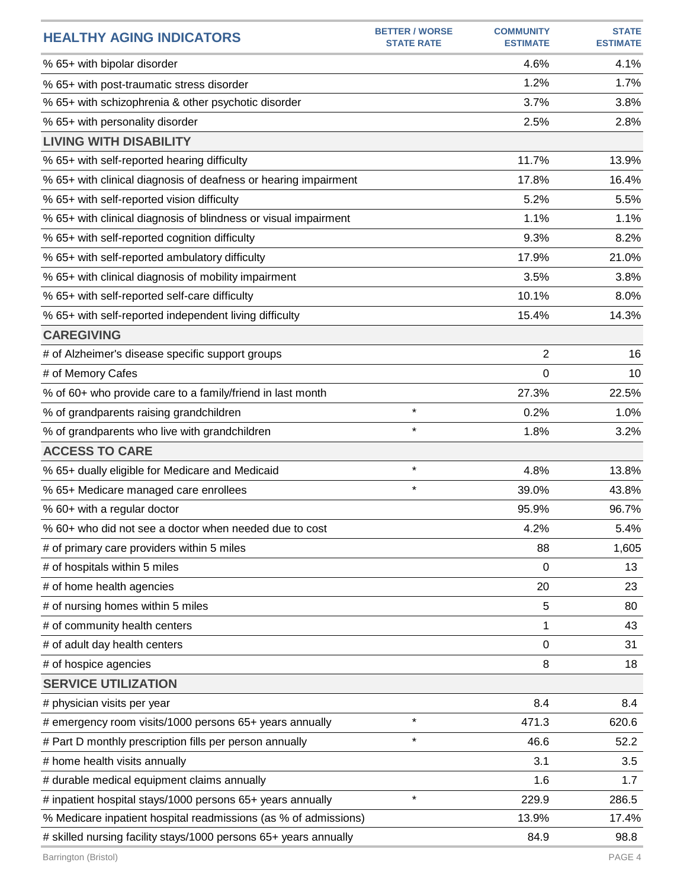| <b>HEALTHY AGING INDICATORS</b>                                  | <b>BETTER / WORSE</b><br><b>STATE RATE</b> | <b>COMMUNITY</b><br><b>ESTIMATE</b> | <b>STATE</b><br><b>ESTIMATE</b> |
|------------------------------------------------------------------|--------------------------------------------|-------------------------------------|---------------------------------|
| % 65+ with bipolar disorder                                      |                                            | 4.6%                                | 4.1%                            |
| % 65+ with post-traumatic stress disorder                        |                                            | 1.2%                                | 1.7%                            |
| % 65+ with schizophrenia & other psychotic disorder              |                                            | 3.7%                                | 3.8%                            |
| % 65+ with personality disorder                                  |                                            | 2.5%                                | 2.8%                            |
| <b>LIVING WITH DISABILITY</b>                                    |                                            |                                     |                                 |
| % 65+ with self-reported hearing difficulty                      |                                            | 11.7%                               | 13.9%                           |
| % 65+ with clinical diagnosis of deafness or hearing impairment  |                                            | 17.8%                               | 16.4%                           |
| % 65+ with self-reported vision difficulty                       |                                            | 5.2%                                | 5.5%                            |
| % 65+ with clinical diagnosis of blindness or visual impairment  |                                            | 1.1%                                | 1.1%                            |
| % 65+ with self-reported cognition difficulty                    |                                            | 9.3%                                | 8.2%                            |
| % 65+ with self-reported ambulatory difficulty                   |                                            | 17.9%                               | 21.0%                           |
| % 65+ with clinical diagnosis of mobility impairment             |                                            | 3.5%                                | 3.8%                            |
| % 65+ with self-reported self-care difficulty                    |                                            | 10.1%                               | 8.0%                            |
| % 65+ with self-reported independent living difficulty           |                                            | 15.4%                               | 14.3%                           |
| <b>CAREGIVING</b>                                                |                                            |                                     |                                 |
| # of Alzheimer's disease specific support groups                 |                                            | $\overline{2}$                      | 16                              |
| # of Memory Cafes                                                |                                            | 0                                   | 10                              |
| % of 60+ who provide care to a family/friend in last month       |                                            | 27.3%                               | 22.5%                           |
| % of grandparents raising grandchildren                          | $\star$                                    | 0.2%                                | 1.0%                            |
| % of grandparents who live with grandchildren                    | $\star$                                    | 1.8%                                | 3.2%                            |
| <b>ACCESS TO CARE</b>                                            |                                            |                                     |                                 |
| % 65+ dually eligible for Medicare and Medicaid                  | $\star$                                    | 4.8%                                | 13.8%                           |
| % 65+ Medicare managed care enrollees                            | $\star$                                    | 39.0%                               | 43.8%                           |
| % 60+ with a regular doctor                                      |                                            | 95.9%                               | 96.7%                           |
| % 60+ who did not see a doctor when needed due to cost           |                                            | 4.2%                                | 5.4%                            |
| # of primary care providers within 5 miles                       |                                            | 88                                  | 1,605                           |
| # of hospitals within 5 miles                                    |                                            | 0                                   | 13                              |
| # of home health agencies                                        |                                            | 20                                  | 23                              |
| # of nursing homes within 5 miles                                |                                            | 5                                   | 80                              |
| # of community health centers                                    |                                            | 1                                   | 43                              |
| # of adult day health centers                                    |                                            | 0                                   | 31                              |
| # of hospice agencies                                            |                                            | 8                                   | 18                              |
| <b>SERVICE UTILIZATION</b>                                       |                                            |                                     |                                 |
| # physician visits per year                                      |                                            | 8.4                                 | 8.4                             |
| # emergency room visits/1000 persons 65+ years annually          | $\star$                                    | 471.3                               | 620.6                           |
| # Part D monthly prescription fills per person annually          | $\star$                                    | 46.6                                | 52.2                            |
| # home health visits annually                                    |                                            | 3.1                                 | 3.5                             |
| # durable medical equipment claims annually                      |                                            | 1.6                                 | 1.7                             |
| # inpatient hospital stays/1000 persons 65+ years annually       | $\star$                                    | 229.9                               | 286.5                           |
| % Medicare inpatient hospital readmissions (as % of admissions)  |                                            | 13.9%                               | 17.4%                           |
| # skilled nursing facility stays/1000 persons 65+ years annually |                                            | 84.9                                | 98.8                            |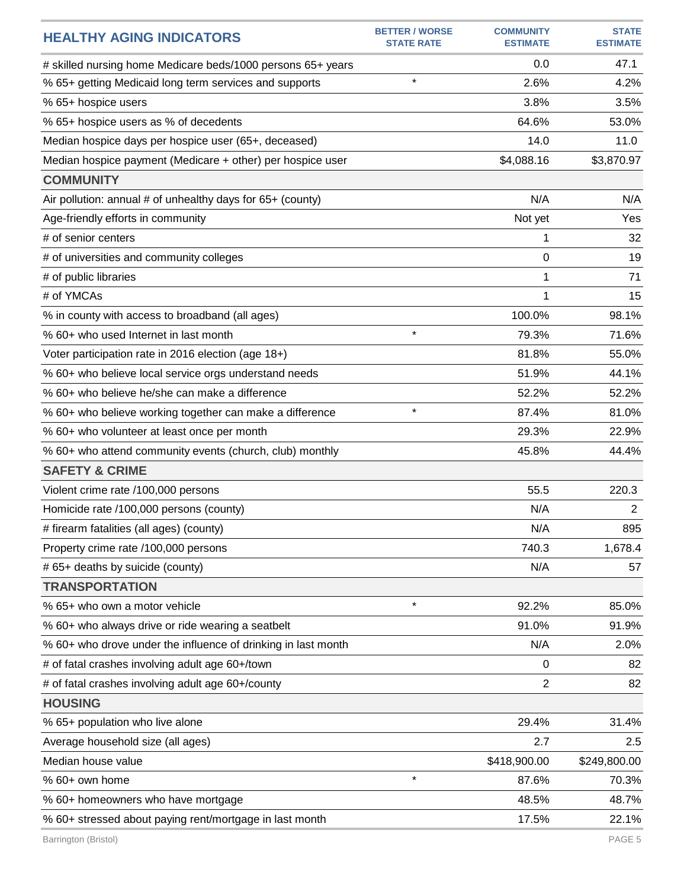| <b>HEALTHY AGING INDICATORS</b>                               | <b>BETTER / WORSE</b><br><b>STATE RATE</b> | <b>COMMUNITY</b><br><b>ESTIMATE</b> | <b>STATE</b><br><b>ESTIMATE</b> |
|---------------------------------------------------------------|--------------------------------------------|-------------------------------------|---------------------------------|
| # skilled nursing home Medicare beds/1000 persons 65+ years   |                                            | 0.0                                 | 47.1                            |
| % 65+ getting Medicaid long term services and supports        | $\star$                                    | 2.6%                                | 4.2%                            |
| % 65+ hospice users                                           |                                            | 3.8%                                | 3.5%                            |
| % 65+ hospice users as % of decedents                         |                                            | 64.6%                               | 53.0%                           |
| Median hospice days per hospice user (65+, deceased)          |                                            | 14.0                                | 11.0                            |
| Median hospice payment (Medicare + other) per hospice user    |                                            | \$4,088.16                          | \$3,870.97                      |
| <b>COMMUNITY</b>                                              |                                            |                                     |                                 |
| Air pollution: annual # of unhealthy days for 65+ (county)    |                                            | N/A                                 | N/A                             |
| Age-friendly efforts in community                             |                                            | Not yet                             | Yes                             |
| # of senior centers                                           |                                            | 1                                   | 32                              |
| # of universities and community colleges                      |                                            | 0                                   | 19                              |
| # of public libraries                                         |                                            | 1                                   | 71                              |
| # of YMCAs                                                    |                                            | 1                                   | 15                              |
| % in county with access to broadband (all ages)               |                                            | 100.0%                              | 98.1%                           |
| % 60+ who used Internet in last month                         | $\star$                                    | 79.3%                               | 71.6%                           |
| Voter participation rate in 2016 election (age 18+)           |                                            | 81.8%                               | 55.0%                           |
| % 60+ who believe local service orgs understand needs         |                                            | 51.9%                               | 44.1%                           |
| % 60+ who believe he/she can make a difference                |                                            | 52.2%                               | 52.2%                           |
| % 60+ who believe working together can make a difference      | $\star$                                    | 87.4%                               | 81.0%                           |
| % 60+ who volunteer at least once per month                   |                                            | 29.3%                               | 22.9%                           |
| % 60+ who attend community events (church, club) monthly      |                                            | 45.8%                               | 44.4%                           |
| <b>SAFETY &amp; CRIME</b>                                     |                                            |                                     |                                 |
| Violent crime rate /100,000 persons                           |                                            | 55.5                                | 220.3                           |
| Homicide rate /100,000 persons (county)                       |                                            | N/A                                 | $\overline{2}$                  |
| # firearm fatalities (all ages) (county)                      |                                            | N/A                                 | 895                             |
| Property crime rate /100,000 persons                          |                                            | 740.3                               | 1,678.4                         |
| # 65+ deaths by suicide (county)                              |                                            | N/A                                 | 57                              |
| <b>TRANSPORTATION</b>                                         |                                            |                                     |                                 |
| % 65+ who own a motor vehicle                                 | $\star$                                    | 92.2%                               | 85.0%                           |
| % 60+ who always drive or ride wearing a seatbelt             |                                            | 91.0%                               | 91.9%                           |
| % 60+ who drove under the influence of drinking in last month |                                            | N/A                                 | 2.0%                            |
| # of fatal crashes involving adult age 60+/town               |                                            | 0                                   | 82                              |
| # of fatal crashes involving adult age 60+/county             |                                            | $\overline{c}$                      | 82                              |
| <b>HOUSING</b>                                                |                                            |                                     |                                 |
| % 65+ population who live alone                               |                                            | 29.4%                               | 31.4%                           |
| Average household size (all ages)                             |                                            | 2.7                                 | 2.5                             |
| Median house value                                            |                                            | \$418,900.00                        | \$249,800.00                    |
| % 60+ own home                                                | $\star$                                    | 87.6%                               | 70.3%                           |
| % 60+ homeowners who have mortgage                            |                                            | 48.5%                               | 48.7%                           |
| % 60+ stressed about paying rent/mortgage in last month       |                                            | 17.5%                               | 22.1%                           |